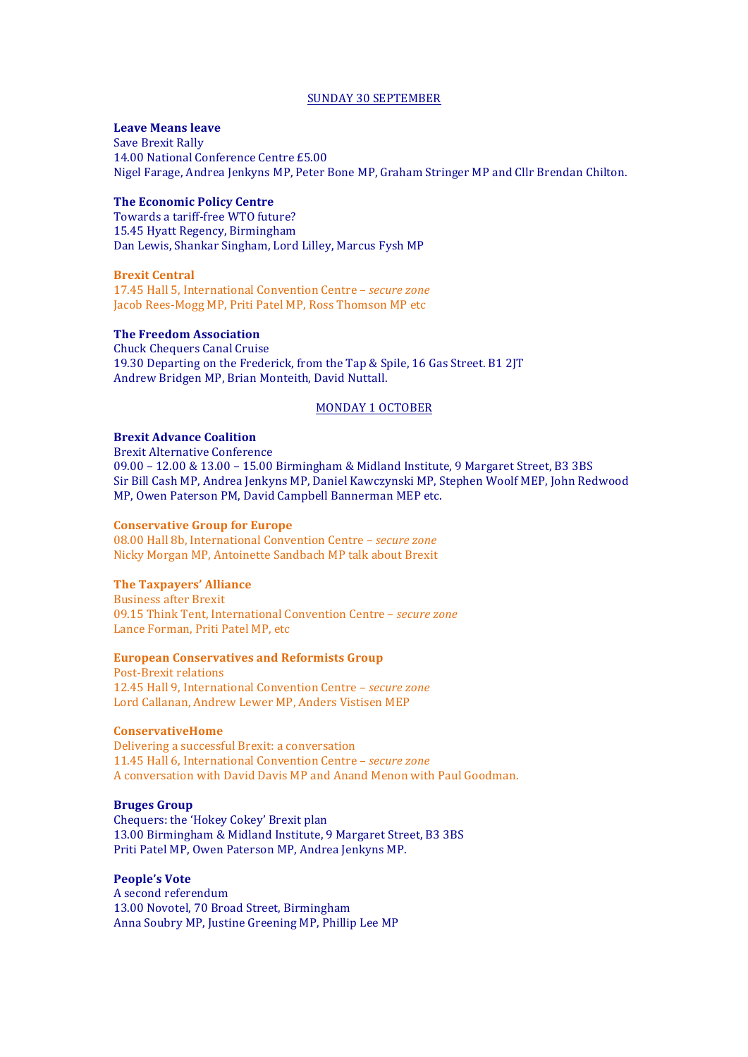#### SUNDAY 30 SEPTEMBER

### **Leave Means leave**

Save Brexit Rally 14.00 National Conference Centre £5.00 Nigel Farage, Andrea Jenkyns MP, Peter Bone MP, Graham Stringer MP and Cllr Brendan Chilton.

### **The Economic Policy Centre**

Towards a tariff-free WTO future? 15.45 Hyatt Regency, Birmingham Dan Lewis, Shankar Singham, Lord Lilley, Marcus Fysh MP

### **Brexit Central**

17.45 Hall 5, International Convention Centre – *secure zone* Jacob Rees-Mogg MP, Priti Patel MP, Ross Thomson MP etc

### **The Freedom Association**

Chuck Chequers Canal Cruise 19.30 Departing on the Frederick, from the Tap & Spile, 16 Gas Street. B1 2JT Andrew Bridgen MP, Brian Monteith, David Nuttall.

#### MONDAY 1 OCTOBER

# **Brexit Advance Coalition**

Brexit Alternative Conference

09.00 - 12.00 & 13.00 - 15.00 Birmingham & Midland Institute, 9 Margaret Street, B3 3BS Sir Bill Cash MP, Andrea Jenkyns MP, Daniel Kawczynski MP, Stephen Woolf MEP, John Redwood MP, Owen Paterson PM, David Campbell Bannerman MEP etc.

#### **Conservative Group for Europe**

08.00 Hall 8b, International Convention Centre - *secure zone* Nicky Morgan MP, Antoinette Sandbach MP talk about Brexit

## **The Taxpayers' Alliance**

Business after Brexit 09.15 Think Tent, International Convention Centre - *secure zone* Lance Forman, Priti Patel MP, etc

## **European Conservatives and Reformists Group**

Post-Brexit relations 12.45 Hall 9, International Convention Centre - *secure zone* Lord Callanan, Andrew Lewer MP, Anders Vistisen MEP

#### **ConservativeHome**

Delivering a successful Brexit: a conversation 11.45 Hall 6, International Convention Centre - *secure zone* A conversation with David Davis MP and Anand Menon with Paul Goodman.

# **Bruges Group**

Chequers: the 'Hokey Cokey' Brexit plan 13.00 Birmingham & Midland Institute, 9 Margaret Street, B3 3BS Priti Patel MP, Owen Paterson MP, Andrea Jenkyns MP.

# **People's Vote**

A second referendum 13.00 Novotel, 70 Broad Street, Birmingham Anna Soubry MP, Justine Greening MP, Phillip Lee MP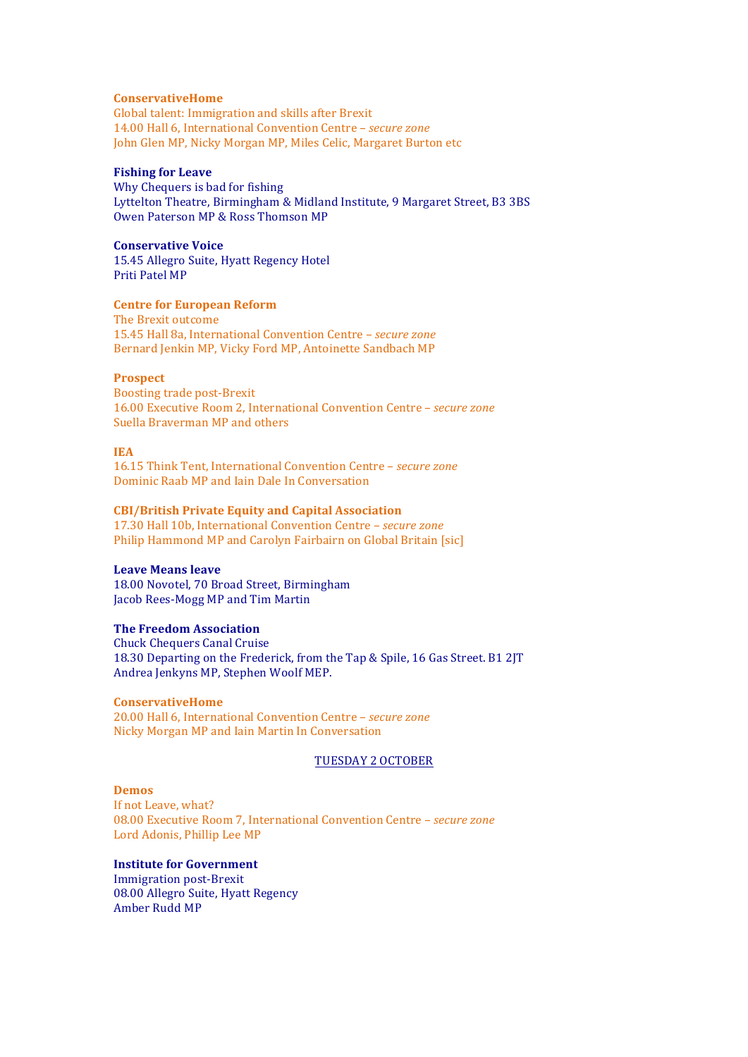#### **ConservativeHome**

Global talent: Immigration and skills after Brexit 14.00 Hall 6, International Convention Centre - *secure zone* John Glen MP, Nicky Morgan MP, Miles Celic, Margaret Burton etc

# **Fishing for Leave**

Why Chequers is bad for fishing Lyttelton Theatre, Birmingham & Midland Institute, 9 Margaret Street, B3 3BS Owen Paterson MP & Ross Thomson MP

### **Conservative Voice**

15.45 Allegro Suite, Hyatt Regency Hotel Priti Patel MP

#### **Centre for European Reform**

The Brexit outcome 15.45 Hall 8a, International Convention Centre - *secure zone* Bernard Jenkin MP, Vicky Ford MP, Antoinette Sandbach MP

### **Prospect**

Boosting trade post-Brexit 16.00 Executive Room 2, International Convention Centre - *secure zone* Suella Braverman MP and others

#### **IEA**

16.15 Think Tent, International Convention Centre - secure zone Dominic Raab MP and Iain Dale In Conversation

#### **CBI/British Private Equity and Capital Association**

17.30 Hall 10b, International Convention Centre - *secure zone* Philip Hammond MP and Carolyn Fairbairn on Global Britain [sic]

### **Leave Means leave**

18.00 Novotel, 70 Broad Street, Birmingham Jacob Rees-Mogg MP and Tim Martin

# **The Freedom Association**

Chuck Chequers Canal Cruise 18.30 Departing on the Frederick, from the Tap & Spile, 16 Gas Street. B1 2JT Andrea Jenkyns MP, Stephen Woolf MEP.

#### **ConservativeHome**

20.00 Hall 6, International Convention Centre - *secure zone* Nicky Morgan MP and Iain Martin In Conversation

#### TUESDAY 2 OCTOBER

### **Demos**

If not Leave, what? 08.00 Executive Room 7, International Convention Centre - *secure zone* Lord Adonis, Phillip Lee MP

# **Institute for Government**

**Immigration post-Brexit** 08.00 Allegro Suite, Hyatt Regency Amber Rudd MP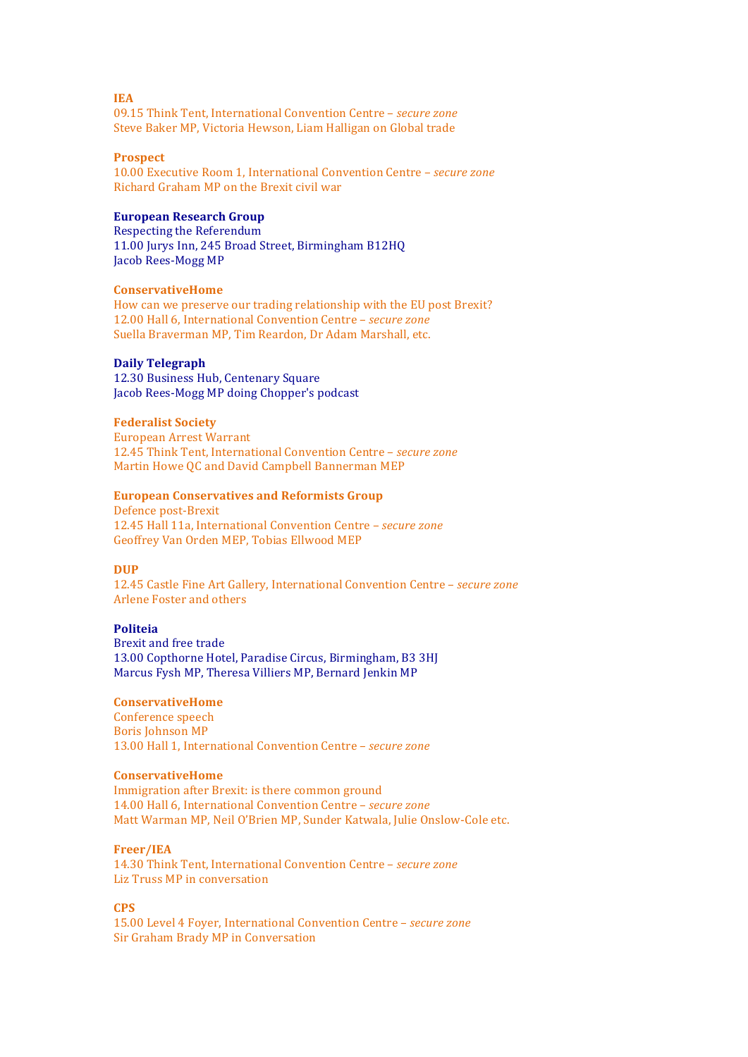09.15 Think Tent, International Convention Centre - *secure zone* Steve Baker MP, Victoria Hewson, Liam Halligan on Global trade

#### **Prospect**

10.00 Executive Room 1, International Convention Centre - *secure zone* Richard Graham MP on the Brexit civil war

# **European Research Group**

Respecting the Referendum 11.00 Jurys Inn, 245 Broad Street, Birmingham B12HQ Jacob Rees-Mogg MP

### **ConservativeHome**

How can we preserve our trading relationship with the EU post Brexit? 12.00 Hall 6, International Convention Centre - *secure zone* Suella Braverman MP, Tim Reardon, Dr Adam Marshall, etc.

### **Daily Telegraph**

12.30 Business Hub, Centenary Square Jacob Rees-Mogg MP doing Chopper's podcast

#### **Federalist Society**

European Arrest Warrant 12.45 Think Tent, International Convention Centre – *secure zone* Martin Howe QC and David Campbell Bannerman MEP

#### **European Conservatives and Reformists Group**

Defence post-Brexit 12.45 Hall 11a, International Convention Centre - *secure zone* Geoffrey Van Orden MEP, Tobias Ellwood MEP

#### **DUP**

12.45 Castle Fine Art Gallery, International Convention Centre - *secure zone* Arlene Foster and others

# **Politeia**

Brexit and free trade 13.00 Copthorne Hotel, Paradise Circus, Birmingham, B3 3HJ Marcus Fysh MP, Theresa Villiers MP, Bernard Jenkin MP

### **ConservativeHome**

Conference speech Boris Johnson MP 13.00 Hall 1, International Convention Centre - *secure zone* 

# **ConservativeHome**

Immigration after Brexit: is there common ground 14.00 Hall 6, International Convention Centre - *secure zone* Matt Warman MP, Neil O'Brien MP, Sunder Katwala, Julie Onslow-Cole etc.

#### **Freer/IEA**

14.30 Think Tent, International Convention Centre – *secure zone* Liz Truss MP in conversation

### **CPS**

15.00 Level 4 Foyer, International Convention Centre - *secure zone* Sir Graham Brady MP in Conversation

#### **IEA**